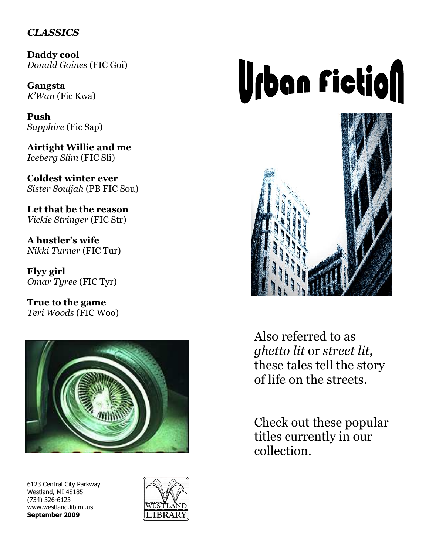## **CLASSICS**

Daddy cool Donald Goines (FIC Goi)

Gangsta K'Wan (Fic Kwa)

Push Sapphire (Fic Sap)

Airtight Willie and me Iceberg Slim (FIC Sli)

Coldest winter ever Sister Souljah (PB FIC Sou)

Let that be the reason Vickie Stringer (FIC Str)

A hustler's wife Nikki Turner (FIC Tur)

Flyy girl Omar Tyree (FIC Tyr)

True to the game Teri Woods (FIC Woo)



6123 Central City Parkway Westland, MI 48185 (734) 326-6123 | www.westland.lib.mi.us September 2009



## **Urban Fiction**



Also referred to as ghetto lit or street lit, these tales tell the story of life on the streets.

Check out these popular titles currently in our collection.